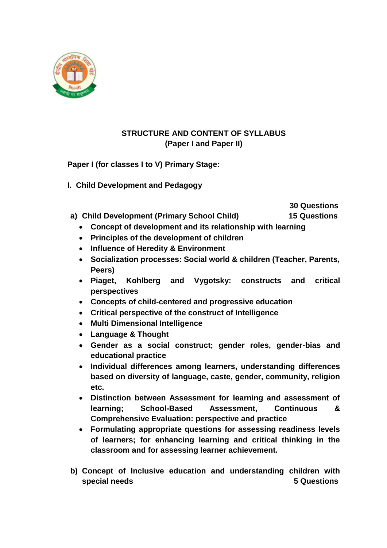

# **STRUCTURE AND CONTENT OF SYLLABUS (Paper I and Paper II)**

**Paper I (for classes I to V) Primary Stage:**

**I. Child Development and Pedagogy**

 **30 Questions**

- **a) Child Development (Primary School Child) 15 Questions**
	- **Concept of development and its relationship with learning**
	- **Principles of the development of children**
	- **Influence of Heredity & Environment**
	- **Socialization processes: Social world & children (Teacher, Parents, Peers)**
	- **Piaget, Kohlberg and Vygotsky: constructs and critical perspectives**
	- **Concepts of child-centered and progressive education**
	- **Critical perspective of the construct of Intelligence**
	- **Multi Dimensional Intelligence**
	- **Language & Thought**
	- **Gender as a social construct; gender roles, gender-bias and educational practice**
	- **Individual differences among learners, understanding differences based on diversity of language, caste, gender, community, religion etc.**
	- **Distinction between Assessment for learning and assessment of learning; School-Based Assessment, Continuous & Comprehensive Evaluation: perspective and practice**
	- **Formulating appropriate questions for assessing readiness levels of learners; for enhancing learning and critical thinking in the classroom and for assessing learner achievement.**
- **b) Concept of Inclusive education and understanding children with special needs** 5 Questions **5** 3 Questions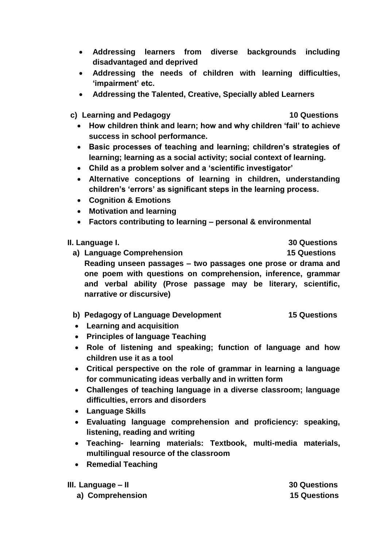- **Addressing learners from diverse backgrounds including disadvantaged and deprived**
- **Addressing the needs of children with learning difficulties, 'impairment' etc.**
- **Addressing the Talented, Creative, Specially abled Learners**

**c) Learning and Pedagogy 10 Questions**

- **How children think and learn; how and why children 'fail' to achieve success in school performance.**
- **Basic processes of teaching and learning; children's strategies of learning; learning as a social activity; social context of learning.**
- **Child as a problem solver and a 'scientific investigator'**
- **Alternative conceptions of learning in children, understanding children's 'errors' as significant steps in the learning process.**
- **Cognition & Emotions**
- **Motivation and learning**
- **Factors contributing to learning – personal & environmental**

### **II. Language I. 30 Questions**

**a) Language Comprehension 15 Questions Reading unseen passages – two passages one prose or drama and one poem with questions on comprehension, inference, grammar and verbal ability (Prose passage may be literary, scientific, narrative or discursive)**

- **b) Pedagogy of Language Development 15 Questions**
- **Learning and acquisition**
- **Principles of language Teaching**
- **Role of listening and speaking; function of language and how children use it as a tool**
- **Critical perspective on the role of grammar in learning a language for communicating ideas verbally and in written form**
- **Challenges of teaching language in a diverse classroom; language difficulties, errors and disorders**
- **Language Skills**
- **Evaluating language comprehension and proficiency: speaking, listening, reading and writing**
- **Teaching- learning materials: Textbook, multi-media materials, multilingual resource of the classroom**
- **•** Remedial Teaching
- **III. Language – II 30 Questions**

**a) Comprehension 15 Questions**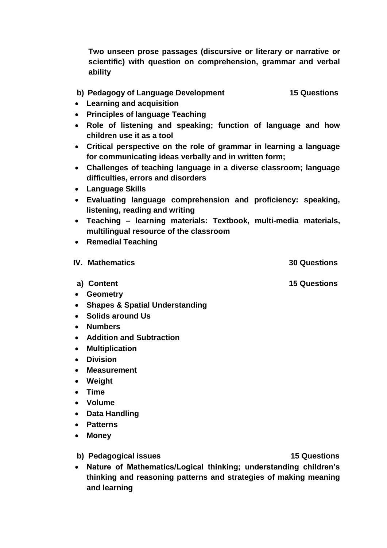**Two unseen prose passages (discursive or literary or narrative or scientific) with question on comprehension, grammar and verbal ability**

### **b) Pedagogy of Language Development 15 Questions**

- **Learning and acquisition**
- **Principles of language Teaching**
- **Role of listening and speaking; function of language and how children use it as a tool**
- **Critical perspective on the role of grammar in learning a language for communicating ideas verbally and in written form;**
- **Challenges of teaching language in a diverse classroom; language difficulties, errors and disorders**
- **Language Skills**
- **Evaluating language comprehension and proficiency: speaking, listening, reading and writing**
- **Teaching – learning materials: Textbook, multi-media materials, multilingual resource of the classroom**
- **•** Remedial Teaching

#### **IV. Mathematics 30 Questions**

- 
- **Geometry**
- **Shapes & Spatial Understanding**
- **Solids around Us**
- **Numbers**
- **Addition and Subtraction**
- **Multiplication**
- **Division**
- **Measurement**
- **Weight**
- **Time**
- **Volume**
- **Data Handling**
- **Patterns**
- **Money**

**b) Pedagogical issues** 15 Questions

 **Nature of Mathematics/Logical thinking; understanding children's thinking and reasoning patterns and strategies of making meaning and learning**

**a) Content 15 Questions**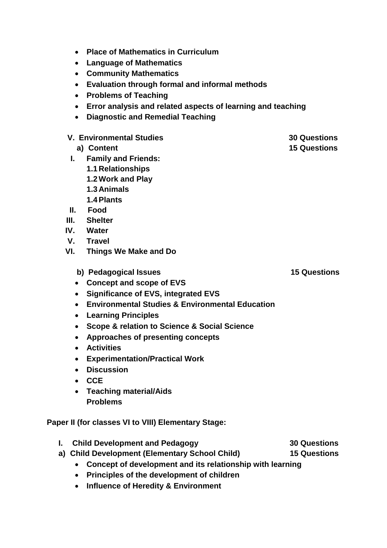- **Place of Mathematics in Curriculum**
- **Language of Mathematics**
- **Community Mathematics**
- **Evaluation through formal and informal methods**
- **Problems of Teaching**
- **Error analysis and related aspects of learning and teaching**
- **Diagnostic and Remedial Teaching**
- **V. Environmental Studies 30 Questions**
	- **a) Content 15 Questions**
- **I. Family and Friends:**
	- **1.1 Relationships**
	- **1.2 Work and Play**
	- **1.3 Animals**
	- **1.4Plants**
- **II. Food**
- **III. Shelter**
- **IV. Water**
- **V. Travel**
- **VI. Things We Make and Do**
	- **b) Pedagogical Issues** 15 Questions
	- **Concept and scope of EVS**
	- **Significance of EVS, integrated EVS**
	- **Environmental Studies & Environmental Education**
	- **Learning Principles**
	- **Scope & relation to Science & Social Science**
	- **Approaches of presenting concepts**
	- **Activities**
	- **Experimentation/Practical Work**
	- **Discussion**
	- **CCE**
	- **Teaching material/Aids Problems**

**Paper II (for classes VI to VIII) Elementary Stage:** 

- **I.** Child Development and Pedagogy 30 Questions
- **a) Child Development (Elementary School Child) 15 Questions**
	- **Concept of development and its relationship with learning**
	- **Principles of the development of children**
	- **Influence of Heredity & Environment**

- 
- 
-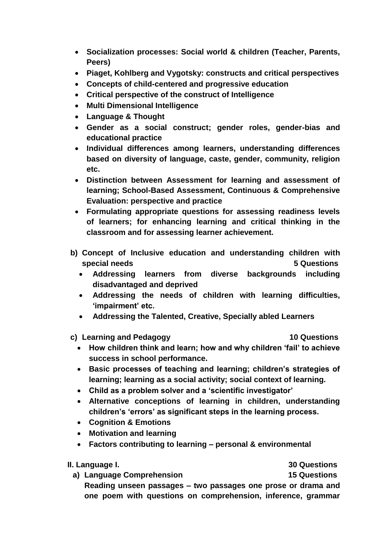- **Socialization processes: Social world & children (Teacher, Parents, Peers)**
- **Piaget, Kohlberg and Vygotsky: constructs and critical perspectives**
- **Concepts of child-centered and progressive education**
- **Critical perspective of the construct of Intelligence**
- **Multi Dimensional Intelligence**
- **Language & Thought**
- **Gender as a social construct; gender roles, gender-bias and educational practice**
- **Individual differences among learners, understanding differences based on diversity of language, caste, gender, community, religion etc.**
- **Distinction between Assessment for learning and assessment of learning; School-Based Assessment, Continuous & Comprehensive Evaluation: perspective and practice**
- **Formulating appropriate questions for assessing readiness levels of learners; for enhancing learning and critical thinking in the classroom and for assessing learner achievement.**
- **b) Concept of Inclusive education and understanding children with special needs 5 Questions** 
	- **Addressing learners from diverse backgrounds including disadvantaged and deprived**
	- **Addressing the needs of children with learning difficulties, 'impairment' etc.**
	- **Addressing the Talented, Creative, Specially abled Learners**
- **c) Learning and Pedagogy 10 Questions**

- **How children think and learn; how and why children 'fail' to achieve success in school performance.**
- **Basic processes of teaching and learning; children's strategies of learning; learning as a social activity; social context of learning.**
- **Child as a problem solver and a 'scientific investigator'**
- **Alternative conceptions of learning in children, understanding children's 'errors' as significant steps in the learning process.**
- **Cognition & Emotions**
- **Motivation and learning**
- **Factors contributing to learning – personal & environmental**

**II. Language I. 30 Questions**

**a) Language Comprehension 15 Questions Reading unseen passages – two passages one prose or drama and one poem with questions on comprehension, inference, grammar**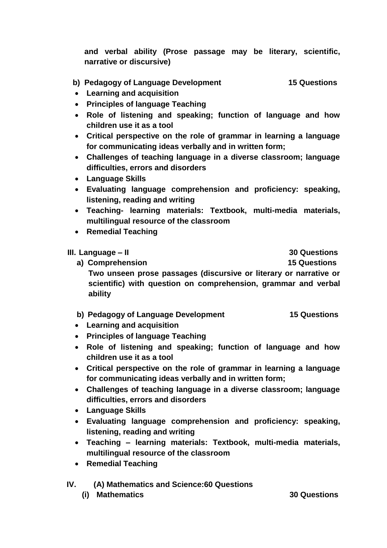**and verbal ability (Prose passage may be literary, scientific, narrative or discursive)**

# **b) Pedagogy of Language Development 15 Questions**

- **Learning and acquisition**
- **Principles of language Teaching**
- **Role of listening and speaking; function of language and how children use it as a tool**
- **Critical perspective on the role of grammar in learning a language for communicating ideas verbally and in written form;**
- **Challenges of teaching language in a diverse classroom; language difficulties, errors and disorders**
- **Language Skills**
- **Evaluating language comprehension and proficiency: speaking, listening, reading and writing**
- **Teaching- learning materials: Textbook, multi-media materials, multilingual resource of the classroom**
- **•** Remedial Teaching

### **III. Language – II 30 Questions**

**a) Comprehension 15 Questions Two unseen prose passages (discursive or literary or narrative or scientific) with question on comprehension, grammar and verbal ability**

- **b) Pedagogy of Language Development 15 Questions**
- **Learning and acquisition**
- **Principles of language Teaching**
- **Role of listening and speaking; function of language and how children use it as a tool**
- **Critical perspective on the role of grammar in learning a language for communicating ideas verbally and in written form;**
- **Challenges of teaching language in a diverse classroom; language difficulties, errors and disorders**
- **Language Skills**
- **Evaluating language comprehension and proficiency: speaking, listening, reading and writing**
- **Teaching – learning materials: Textbook, multi-media materials, multilingual resource of the classroom**
- **•** Remedial Teaching
- **IV. (A) Mathematics and Science:60 Questions**
	- **(i) Mathematics 30 Questions**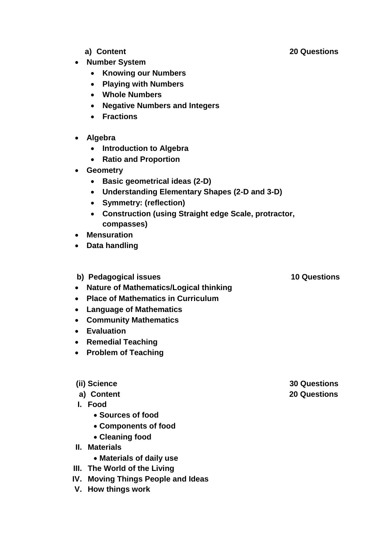- **a) Content 20 Questions**
- 
- **Number System**
	- **Knowing our Numbers**
	- **Playing with Numbers**
	- **Whole Numbers**
	- **Negative Numbers and Integers**
	- **Fractions**
- **Algebra** 
	- **Introduction to Algebra**
	- **Ratio and Proportion**
- **Geometry**
	- **Basic geometrical ideas (2-D)**
	- **Understanding Elementary Shapes (2-D and 3-D)**
	- **Symmetry: (reflection)**
	- **Construction (using Straight edge Scale, protractor, compasses)**
- **Mensuration**
- **Data handling**
- **b) Pedagogical issues** 10 Questions
- **Nature of Mathematics/Logical thinking**
- **Place of Mathematics in Curriculum**
- **Language of Mathematics**
- **Community Mathematics**
- **Evaluation**
- **Remedial Teaching**
- **Problem of Teaching**
- 
- 
- **I. Food**
	- **Sources of food**
	- **Components of food**
	- **Cleaning food**
- **II. Materials**
	- **Materials of daily use**
- **III. The World of the Living**
- **IV. Moving Things People and Ideas**
- **V. How things work**

**(ii) Science 30 Questions a) Content 20 Questions**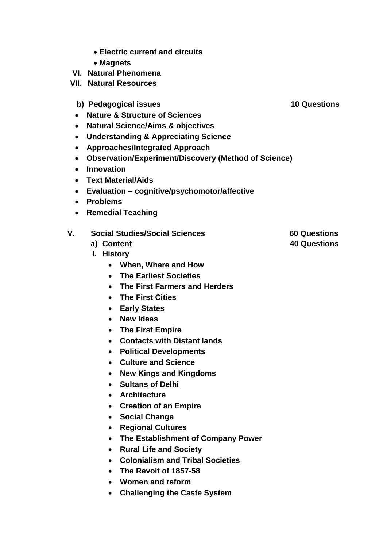- **Electric current and circuits**
- **Magnets**
- **VI. Natural Phenomena**
- **VII. Natural Resources**
	- **b) Pedagogical issues** 10 Questions
	- **Nature & Structure of Sciences**
	- **Natural Science/Aims & objectives**
	- **Understanding & Appreciating Science**
	- **Approaches/Integrated Approach**
	- **Observation/Experiment/Discovery (Method of Science)**
	- **Innovation**
	- **Text Material/Aids**
	- **Evaluation – cognitive/psychomotor/affective**
	- **Problems**
	- **Remedial Teaching**

# **V. Social Studies/Social Sciences 60 Questions**

- 
- **I. History**
	- **When, Where and How**
	- **The Earliest Societies**
	- **The First Farmers and Herders**
	- **The First Cities**
	- **Early States**
	- **New Ideas**
	- **The First Empire**
	- **Contacts with Distant lands**
	- **Political Developments**
	- **Culture and Science**
	- **New Kings and Kingdoms**
	- **Sultans of Delhi**
	- **Architecture**
	- **Creation of an Empire**
	- **Social Change**
	- **Regional Cultures**
	- **The Establishment of Company Power**
	- **Rural Life and Society**
	- **Colonialism and Tribal Societies**
	- **The Revolt of 1857-58**
	- **Women and reform**
	- **Challenging the Caste System**
- 
- **a) Content 40 Questions**